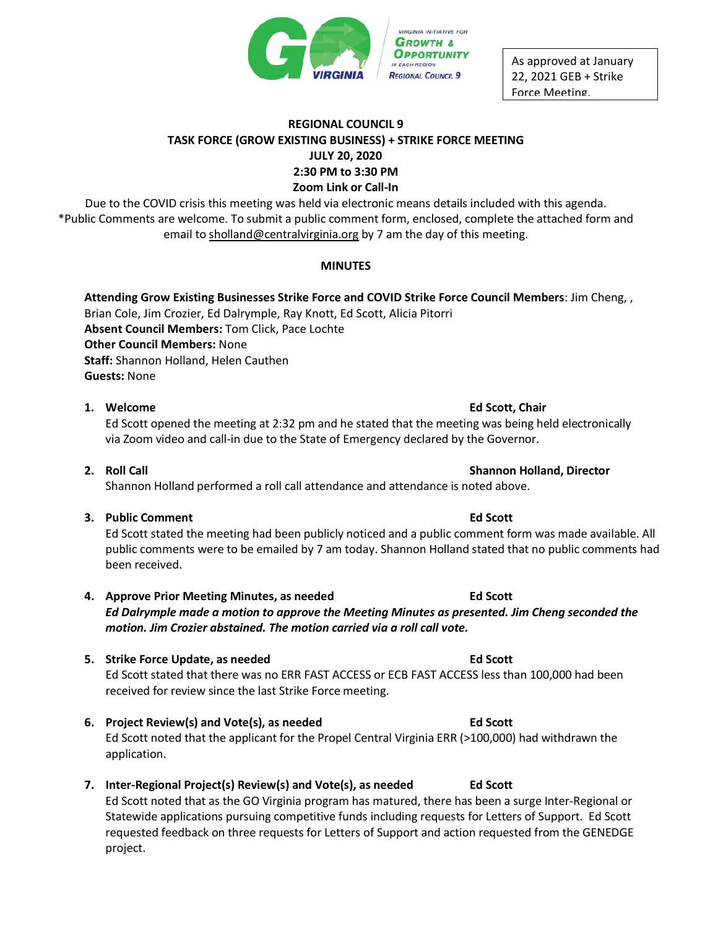

As approved at January 22, 2021 GEB + Strike Force Meeting.

# **REGIONAL COUNCIL 9 TASK FORCE (GROW EXISTING BUSINESS) + STRIKE FORCE MEETING JULY 20, 2020 2:30 PM to 3:30 PM Zoom Link or Call-In**

Due to the COVID crisis this meeting was held via electronic means details included with this agenda. \*Public Comments are welcome. To submit a public comment form, enclosed, complete the attached form and email to [sholland@centralvirginia.org](mailto:sholland@centralvirginia.org) by 7 am the day of this meeting.

## **MINUTES**

**Attending Grow Existing Businesses Strike Force and COVID Strike Force Council Members**: Jim Cheng, , Brian Cole, Jim Crozier, Ed Dalrymple, Ray Knott, Ed Scott, Alicia Pitorri **Absent Council Members:** Tom Click, Pace Lochte **Other Council Members:** None **Staff:** Shannon Holland, Helen Cauthen **Guests:** None

### **1. Welcome Ed Scott, Chair**

# Ed Scott opened the meeting at 2:32 pm and he stated that the meeting was being held electronically via Zoom video and call-in due to the State of Emergency declared by the Governor.

**2. Roll Call Shannon Holland, Director**

Shannon Holland performed a roll call attendance and attendance is noted above.

**3. Public Comment Ed Scott**

Ed Scott stated the meeting had been publicly noticed and a public comment form was made available. All public comments were to be emailed by 7 am today. Shannon Holland stated that no public comments had been received.

- **4. Approve Prior Meeting Minutes, as needed Ed Scott** *Ed Dalrymple made a motion to approve the Meeting Minutes as presented. Jim Cheng seconded the motion. Jim Crozier abstained. The motion carried via a roll call vote.*
- **5. Strike Force Update, as needed Ed Scott** Ed Scott stated that there was no ERR FAST ACCESS or ECB FAST ACCESS less than 100,000 had been received for review since the last Strike Force meeting.
- **6. Project Review(s) and Vote(s), as needed Ed Scott** Ed Scott noted that the applicant for the Propel Central Virginia ERR (>100,000) had withdrawn the application.
- **7. Inter-Regional Project(s) Review(s) and Vote(s), as needed Ed Scott** Ed Scott noted that as the GO Virginia program has matured, there has been a surge Inter-Regional or Statewide applications pursuing competitive funds including requests for Letters of Support. Ed Scott requested feedback on three requests for Letters of Support and action requested from the GENEDGE project.